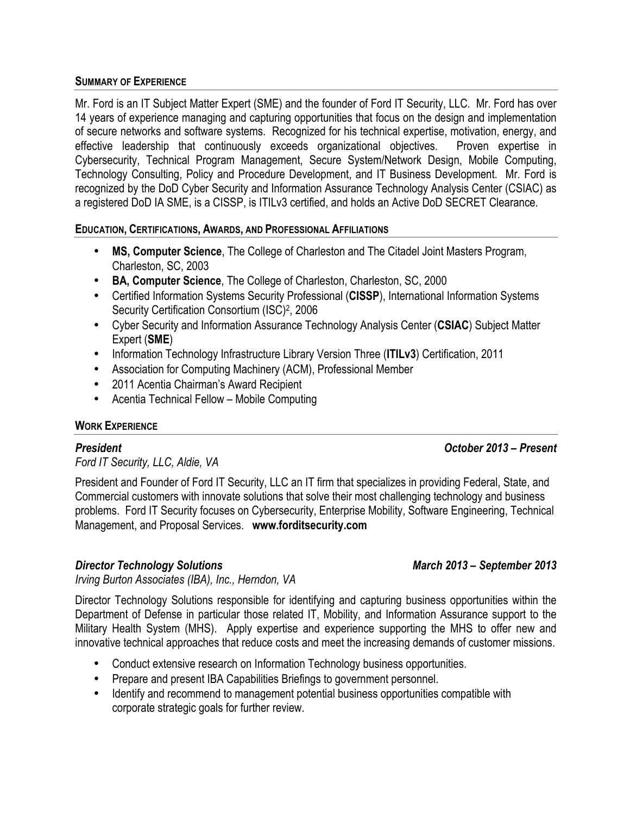### **SUMMARY OF EXPERIENCE**

Mr. Ford is an IT Subject Matter Expert (SME) and the founder of Ford IT Security, LLC. Mr. Ford has over 14 years of experience managing and capturing opportunities that focus on the design and implementation of secure networks and software systems. Recognized for his technical expertise, motivation, energy, and effective leadership that continuously exceeds organizational objectives. Proven expertise in Cybersecurity, Technical Program Management, Secure System/Network Design, Mobile Computing, Technology Consulting, Policy and Procedure Development, and IT Business Development. Mr. Ford is recognized by the DoD Cyber Security and Information Assurance Technology Analysis Center (CSIAC) as a registered DoD IA SME, is a CISSP, is ITILv3 certified, and holds an Active DoD SECRET Clearance.

**EDUCATION, CERTIFICATIONS, AWARDS, AND PROFESSIONAL AFFILIATIONS**

- **MS, Computer Science**, The College of Charleston and The Citadel Joint Masters Program, Charleston, SC, 2003
- **BA, Computer Science**, The College of Charleston, Charleston, SC, 2000
- Certified Information Systems Security Professional (**CISSP**), International Information Systems Security Certification Consortium (ISC)<sup>2</sup>, 2006
- Cyber Security and Information Assurance Technology Analysis Center (**CSIAC**) Subject Matter Expert (**SME**)
- Information Technology Infrastructure Library Version Three (**ITILv3**) Certification, 2011
- Association for Computing Machinery (ACM), Professional Member
- 2011 Acentia Chairman's Award Recipient
- Acentia Technical Fellow Mobile Computing

### **WORK EXPERIENCE**

## *President October 2013 – Present*

*Ford IT Security, LLC, Aldie, VA*

President and Founder of Ford IT Security, LLC an IT firm that specializes in providing Federal, State, and Commercial customers with innovate solutions that solve their most challenging technology and business problems. Ford IT Security focuses on Cybersecurity, Enterprise Mobility, Software Engineering, Technical Management, and Proposal Services. **www.forditsecurity.com**

## *Director Technology Solutions March 2013 – September 2013*

*Irving Burton Associates (IBA), Inc., Herndon, VA*

Director Technology Solutions responsible for identifying and capturing business opportunities within the Department of Defense in particular those related IT, Mobility, and Information Assurance support to the Military Health System (MHS). Apply expertise and experience supporting the MHS to offer new and innovative technical approaches that reduce costs and meet the increasing demands of customer missions.

- Conduct extensive research on Information Technology business opportunities.
- Prepare and present IBA Capabilities Briefings to government personnel.
- Identify and recommend to management potential business opportunities compatible with corporate strategic goals for further review.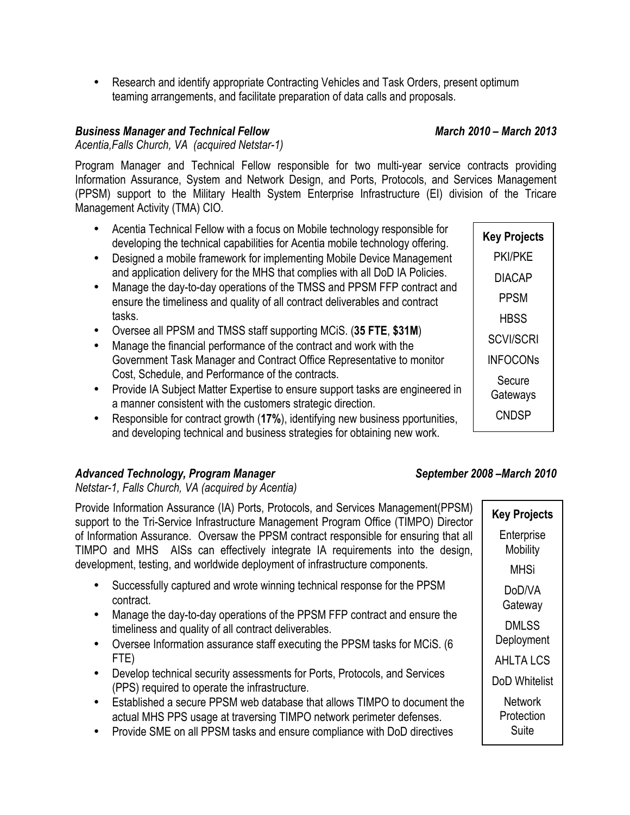• Research and identify appropriate Contracting Vehicles and Task Orders, present optimum teaming arrangements, and facilitate preparation of data calls and proposals.

## *Business Manager and Technical Fellow March 2010 – March 2013*

*Acentia,Falls Church, VA (acquired Netstar-1)*

Program Manager and Technical Fellow responsible for two multi-year service contracts providing Information Assurance, System and Network Design, and Ports, Protocols, and Services Management (PPSM) support to the Military Health System Enterprise Infrastructure (EI) division of the Tricare Management Activity (TMA) CIO.

- Acentia Technical Fellow with a focus on Mobile technology responsible for developing the technical capabilities for Acentia mobile technology offering.
- Designed a mobile framework for implementing Mobile Device Management and application delivery for the MHS that complies with all DoD IA Policies.
- Manage the day-to-day operations of the TMSS and PPSM FFP contract and ensure the timeliness and quality of all contract deliverables and contract tasks.
- Oversee all PPSM and TMSS staff supporting MCiS. (**35 FTE**, **\$31M**)
- Manage the financial performance of the contract and work with the Government Task Manager and Contract Office Representative to monitor Cost, Schedule, and Performance of the contracts.
- Provide IA Subject Matter Expertise to ensure support tasks are engineered in a manner consistent with the customers strategic direction.
- Responsible for contract growth (**17%**), identifying new business pportunities, and developing technical and business strategies for obtaining new work.

# *Advanced Technology, Program Manager September 2008 –March 2010*

*Netstar-1, Falls Church, VA (acquired by Acentia)*

Provide Information Assurance (IA) Ports, Protocols, and Services Management(PPSM) support to the Tri-Service Infrastructure Management Program Office (TIMPO) Director of Information Assurance. Oversaw the PPSM contract responsible for ensuring that all TIMPO and MHS AISs can effectively integrate IA requirements into the design, development, testing, and worldwide deployment of infrastructure components.

- Successfully captured and wrote winning technical response for the PPSM contract.
- Manage the day-to-day operations of the PPSM FFP contract and ensure the timeliness and quality of all contract deliverables.
- Oversee Information assurance staff executing the PPSM tasks for MCiS. (6 FTE)
- Develop technical security assessments for Ports, Protocols, and Services (PPS) required to operate the infrastructure.
- Established a secure PPSM web database that allows TIMPO to document the actual MHS PPS usage at traversing TIMPO network perimeter defenses.
- Provide SME on all PPSM tasks and ensure compliance with DoD directives

**Key Projects** PKI/PKE DIACAP PPSM **HBSS** SCVI/SCRI INFOCONs Secure **Gateways CNDSP** 

**Key Projects Enterprise** Mobility MHSi DoD/VA **Gateway** DMLSS Deployment AHLTA LCS DoD Whitelist **Network Protection** Suite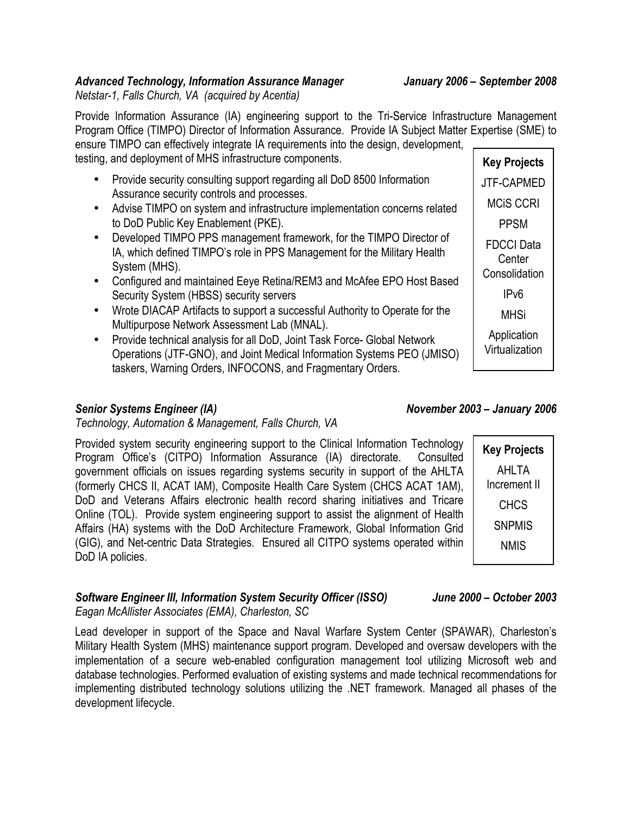# *Advanced Technology, Information Assurance Manager January 2006 – September 2008*

*Netstar-1, Falls Church, VA (acquired by Acentia)*

**Key Projects** Provide Information Assurance (IA) engineering support to the Tri-Service Infrastructure Management Program Office (TIMPO) Director of Information Assurance. Provide IA Subject Matter Expertise (SME) to ensure TIMPO can effectively integrate IA requirements into the design, development, testing, and deployment of MHS infrastructure components.

- Provide security consulting support regarding all DoD 8500 Information Assurance security controls and processes.
- Advise TIMPO on system and infrastructure implementation concerns related to DoD Public Key Enablement (PKE).
- Developed TIMPO PPS management framework, for the TIMPO Director of IA, which defined TIMPO's role in PPS Management for the Military Health System (MHS).
- Configured and maintained Eeye Retina/REM3 and McAfee EPO Host Based Security System (HBSS) security servers
- Wrote DIACAP Artifacts to support a successful Authority to Operate for the Multipurpose Network Assessment Lab (MNAL).
- Provide technical analysis for all DoD, Joint Task Force- Global Network Operations (JTF-GNO), and Joint Medical Information Systems PEO (JMISO) taskers, Warning Orders, INFOCONS, and Fragmentary Orders.

## *Technology, Automation & Management, Falls Church, VA*

Provided system security engineering support to the Clinical Information Technology Program Office's (CITPO) Information Assurance (IA) directorate. Consulted government officials on issues regarding systems security in support of the AHLTA (formerly CHCS II, ACAT IAM), Composite Health Care System (CHCS ACAT 1AM), DoD and Veterans Affairs electronic health record sharing initiatives and Tricare Online (TOL). Provide system engineering support to assist the alignment of Health Affairs (HA) systems with the DoD Architecture Framework, Global Information Grid (GIG), and Net-centric Data Strategies. Ensured all CITPO systems operated within DoD IA policies.

### *Software Engineer III, Information System Security Officer (ISSO) June 2000 – October 2003 Eagan McAllister Associates (EMA), Charleston, SC*

Lead developer in support of the Space and Naval Warfare System Center (SPAWAR), Charleston's Military Health System (MHS) maintenance support program. Developed and oversaw developers with the implementation of a secure web-enabled configuration management tool utilizing Microsoft web and database technologies. Performed evaluation of existing systems and made technical recommendations for implementing distributed technology solutions utilizing the .NET framework. Managed all phases of the development lifecycle.

## *Senior Systems Engineer (IA) November 2003 – January 2006*

JTF-CAPMED MCiS CCRI

PPSM

FDCCI Data **Center Consolidation** IPv6

MHSi

**Application** Virtualization